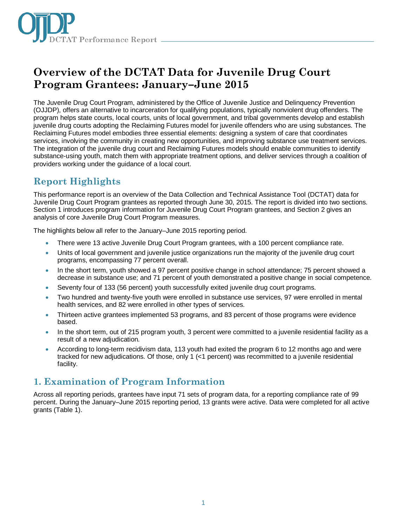

# **Overview of the DCTAT Data for Juvenile Drug Court Program Grantees: January–June 2015**

The Juvenile Drug Court Program, administered by the Office of Juvenile Justice and Delinquency Prevention (OJJDP), offers an alternative to incarceration for qualifying populations, typically nonviolent drug offenders. The program helps state courts, local courts, units of local government, and tribal governments develop and establish juvenile drug courts adopting the Reclaiming Futures model for juvenile offenders who are using substances. The Reclaiming Futures model embodies three essential elements: designing a system of care that coordinates services, involving the community in creating new opportunities, and improving substance use treatment services. The integration of the juvenile drug court and Reclaiming Futures models should enable communities to identify substance-using youth, match them with appropriate treatment options, and deliver services through a coalition of providers working under the guidance of a local court.

## **Report Highlights**

This performance report is an overview of the Data Collection and Technical Assistance Tool (DCTAT) data for Juvenile Drug Court Program grantees as reported through June 30, 2015. The report is divided into two sections. Section 1 introduces program information for Juvenile Drug Court Program grantees, and Section 2 gives an analysis of core Juvenile Drug Court Program measures.

The highlights below all refer to the January–June 2015 reporting period.

- There were 13 active Juvenile Drug Court Program grantees, with a 100 percent compliance rate.
- Units of local government and juvenile justice organizations run the majority of the juvenile drug court programs, encompassing 77 percent overall.
- In the short term, youth showed a 97 percent positive change in school attendance; 75 percent showed a decrease in substance use; and 71 percent of youth demonstrated a positive change in social competence.
- Seventy four of 133 (56 percent) youth successfully exited juvenile drug court programs.
- Two hundred and twenty-five youth were enrolled in substance use services, 97 were enrolled in mental health services, and 82 were enrolled in other types of services.
- Thirteen active grantees implemented 53 programs, and 83 percent of those programs were evidence based.
- In the short term, out of 215 program youth, 3 percent were committed to a juvenile residential facility as a result of a new adjudication.
- According to long-term recidivism data, 113 youth had exited the program 6 to 12 months ago and were tracked for new adjudications. Of those, only 1 (<1 percent) was recommitted to a juvenile residential facility.

### **1. Examination of Program Information**

Across all reporting periods, grantees have input 71 sets of program data, for a reporting compliance rate of 99 percent. During the January–June 2015 reporting period, 13 grants were active. Data were completed for all active grants (Table 1).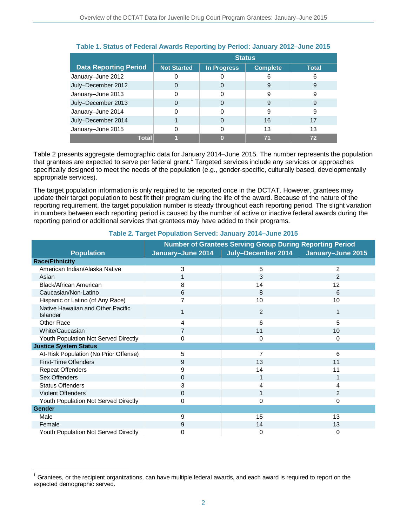|                              | <b>Status</b>      |             |                 |              |
|------------------------------|--------------------|-------------|-----------------|--------------|
| <b>Data Reporting Period</b> | <b>Not Started</b> | In Progress | <b>Complete</b> | <b>Total</b> |
| January-June 2012            |                    |             | 6               | 6            |
| July-December 2012           |                    | O           | 9               | 9            |
| January-June 2013            |                    | 0           | 9               | 9            |
| July-December 2013           |                    | O           | 9               | 9            |
| January-June 2014            |                    |             | 9               | 9            |
| July-December 2014           |                    | 0           | 16              | 17           |
| January-June 2015            |                    | 0           | 13              | 13           |
| Total                        |                    |             |                 | 72           |

### **Table 1. Status of Federal Awards Reporting by Period: January 2012–June 2015**

Table 2 presents aggregate demographic data for January 2014–June 2015. The number represents the population that grantees are expected to serve per federal grant.<sup>[1](#page-1-0)</sup> Targeted services include any services or approaches specifically designed to meet the needs of the population (e.g., gender-specific, culturally based, developmentally appropriate services).

The target population information is only required to be reported once in the DCTAT. However, grantees may update their target population to best fit their program during the life of the award. Because of the nature of the reporting requirement, the target population number is steady throughout each reporting period. The slight variation in numbers between each reporting period is caused by the number of active or inactive federal awards during the reporting period or additional services that grantees may have added to their programs.

|                                               | <b>Number of Grantees Serving Group During Reporting Period</b> |                    |                   |  |
|-----------------------------------------------|-----------------------------------------------------------------|--------------------|-------------------|--|
| <b>Population</b>                             | January-June 2014                                               | July-December 2014 | January-June 2015 |  |
| <b>Race/Ethnicity</b>                         |                                                                 |                    |                   |  |
| American Indian/Alaska Native                 | 3                                                               | 5                  | $\overline{2}$    |  |
| Asian                                         |                                                                 | 3                  | $\mathfrak{p}$    |  |
| Black/African American                        | 8                                                               | 14                 | 12                |  |
| Caucasian/Non-Latino                          | 6                                                               | 8                  | 6                 |  |
| Hispanic or Latino (of Any Race)              |                                                                 | 10                 | 10                |  |
| Native Hawaiian and Other Pacific<br>Islander |                                                                 | $\overline{2}$     | 1                 |  |
| Other Race                                    | 4                                                               | 6                  | 5                 |  |
| White/Caucasian                               | 7                                                               | 11                 | 10                |  |
| Youth Population Not Served Directly          | 0                                                               | 0                  | 0                 |  |
| <b>Justice System Status</b>                  |                                                                 |                    |                   |  |
| At-Risk Population (No Prior Offense)         | 5                                                               |                    | 6                 |  |
| First-Time Offenders                          | 9                                                               | 13                 | 11                |  |
| <b>Repeat Offenders</b>                       | 9                                                               | 14                 | 11                |  |
| Sex Offenders                                 | 0                                                               |                    | 1                 |  |
| <b>Status Offenders</b>                       | 3                                                               | 4                  | 4                 |  |
| Violent Offenders                             | 0                                                               |                    | $\overline{2}$    |  |
| Youth Population Not Served Directly          | 0                                                               | 0                  | 0                 |  |
| Gender                                        |                                                                 |                    |                   |  |
| Male                                          | 9                                                               | 15                 | 13                |  |
| Female                                        | 9                                                               | 14                 | 13                |  |
| Youth Population Not Served Directly          | 0                                                               | 0                  | 0                 |  |

#### **Table 2. Target Population Served: January 2014–June 2015**

<span id="page-1-0"></span> $\overline{\phantom{a}}$ 1 Grantees, or the recipient organizations, can have multiple federal awards, and each award is required to report on the expected demographic served.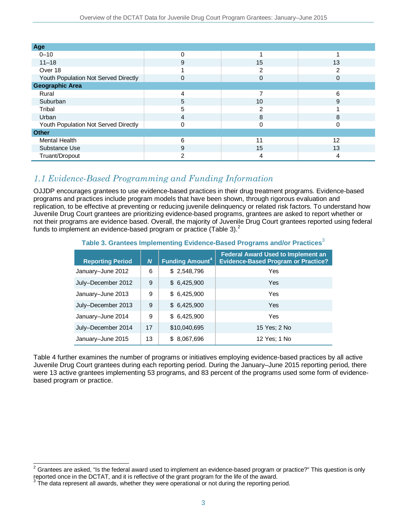| Age                                  |   |    |    |
|--------------------------------------|---|----|----|
| $0 - 10$                             | 0 |    |    |
| $11 - 18$                            | 9 | 15 | 13 |
| Over 18                              |   | 2  | っ  |
| Youth Population Not Served Directly | 0 | 0  | 0  |
| <b>Geographic Area</b>               |   |    |    |
| Rural                                | 4 | 7  | 6  |
| Suburban                             | 5 | 10 | 9  |
| Tribal                               | 5 | 2  |    |
| Urban                                | 4 | 8  | 8  |
| Youth Population Not Served Directly | 0 | 0  | 0  |
| <b>Other</b>                         |   |    |    |
| <b>Mental Health</b>                 | 6 | 11 | 12 |
| Substance Use                        | 9 | 15 | 13 |
| Truant/Dropout                       | 2 | 4  | 4  |

### *1.1 Evidence-Based Programming and Funding Information*

OJJDP encourages grantees to use evidence-based practices in their drug treatment programs. Evidence-based programs and practices include program models that have been shown, through rigorous evaluation and replication, to be effective at preventing or reducing juvenile delinquency or related risk factors. To understand how Juvenile Drug Court grantees are prioritizing evidence-based programs, grantees are asked to report whether or not their programs are evidence based. Overall, the majority of Juvenile Drug Court grantees reported using federal funds to implement an evidence-based program or practice (Table 3).<sup>[2](#page-2-0)</sup>

|  |  |  | Table 3. Grantees Implementing Evidence-Based Programs and/or Practices <sup>3</sup> |  |  |  |
|--|--|--|--------------------------------------------------------------------------------------|--|--|--|
|--|--|--|--------------------------------------------------------------------------------------|--|--|--|

| <b>Reporting Period</b> | $\boldsymbol{N}$ | <b>Funding Amount<sup>4</sup></b> | <b>Federal Award Used to Implement an</b><br><b>Evidence-Based Program or Practice?</b> |
|-------------------------|------------------|-----------------------------------|-----------------------------------------------------------------------------------------|
| January-June 2012       | 6                | \$2,548,796                       | Yes                                                                                     |
| July-December 2012      | 9                | \$6,425,900                       | Yes                                                                                     |
| January-June 2013       | 9                | \$6,425,900                       | Yes                                                                                     |
| July-December 2013      | 9                | \$6,425,900                       | Yes                                                                                     |
| January-June 2014       | 9                | \$6,425,900                       | Yes                                                                                     |
| July-December 2014      | 17               | \$10,040,695                      | 15 Yes: 2 No                                                                            |
| January-June 2015       | 13               | \$ 8,067,696                      | 12 Yes; 1 No                                                                            |

Table 4 further examines the number of programs or initiatives employing evidence-based practices by all active Juvenile Drug Court grantees during each reporting period. During the January–June 2015 reporting period, there were 13 active grantees implementing 53 programs, and 83 percent of the programs used some form of evidencebased program or practice.

<span id="page-2-0"></span> $\overline{a}$  $2$  Grantees are asked, "Is the federal award used to implement an evidence-based program or practice?" This question is only reported once in the DCTAT, and it is reflective of the grant program for the life of the award.

<span id="page-2-2"></span><span id="page-2-1"></span><sup>&</sup>lt;sup>3</sup> The data represent all awards, whether they were operational or not during the reporting period.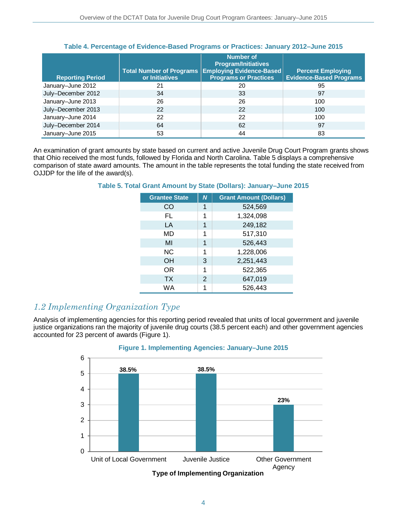|                         | <b>Total Number of Programs</b> | <b>Number of</b><br><b>Program/Initiatives</b><br><b>Employing Evidence-Based</b> | <b>Percent Employing</b>       |
|-------------------------|---------------------------------|-----------------------------------------------------------------------------------|--------------------------------|
| <b>Reporting Period</b> | or Initiatives                  | <b>Programs or Practices</b>                                                      | <b>Evidence-Based Programs</b> |
| January-June 2012       | 21                              | 20                                                                                | 95                             |
| July-December 2012      | 34                              | 33                                                                                | 97                             |
| January-June 2013       | 26                              | 26                                                                                | 100                            |
| July-December 2013      | 22                              | 22                                                                                | 100                            |
| January-June 2014       | 22                              | 22                                                                                | 100                            |
| July-December 2014      | 64                              | 62                                                                                | 97                             |
| January-June 2015       | 53                              | 44                                                                                | 83                             |

#### **Table 4. Percentage of Evidence-Based Programs or Practices: January 2012–June 2015**

An examination of grant amounts by state based on current and active Juvenile Drug Court Program grants shows that Ohio received the most funds, followed by Florida and North Carolina. Table 5 displays a comprehensive comparison of state award amounts. The amount in the table represents the total funding the state received from OJJDP for the life of the award(s).

| <b>Grantee State</b> | $\boldsymbol{N}$ | <b>Grant Amount (Dollars)</b> |
|----------------------|------------------|-------------------------------|
| CO                   | 1                | 524,569                       |
| FL                   | 1                | 1,324,098                     |
| LA                   | 1                | 249,182                       |
| MD                   | 1                | 517,310                       |
| MI                   | 1                | 526,443                       |
| <b>NC</b>            | 1                | 1,228,006                     |
| <b>OH</b>            | 3                | 2,251,443                     |
| OR.                  | 1                | 522,365                       |
| <b>TX</b>            | 2                | 647,019                       |
| WA                   | 1                | 526,443                       |

### **Table 5. Total Grant Amount by State (Dollars): January–June 2015**

### *1.2 Implementing Organization Type*

Analysis of implementing agencies for this reporting period revealed that units of local government and juvenile justice organizations ran the majority of juvenile drug courts (38.5 percent each) and other government agencies accounted for 23 percent of awards (Figure 1).



### **Figure 1. Implementing Agencies: January–June 2015**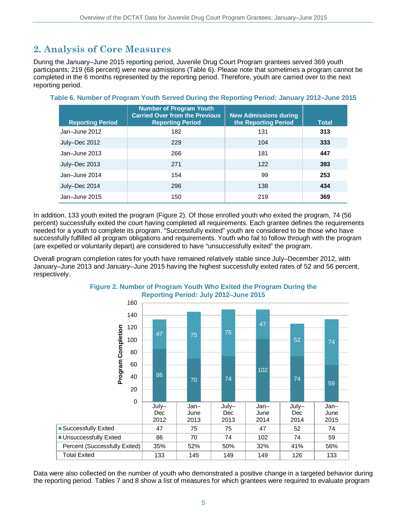## **2. Analysis of Core Measures**

During the January–June 2015 reporting period, Juvenile Drug Court Program grantees served 369 youth participants; 219 (68 percent) were new admissions (Table 6). Please note that sometimes a program cannot be completed in the 6 months represented by the reporting period. Therefore, youth are carried over to the next reporting period.

| <b>Reporting Period</b> | <b>Number of Program Youth</b><br><b>Carried Over from the Previous</b><br><b>Reporting Period</b> | <b>New Admissions during</b><br>the Reporting Period | <b>Total</b> |
|-------------------------|----------------------------------------------------------------------------------------------------|------------------------------------------------------|--------------|
| Jan-June 2012           | 182                                                                                                | 131                                                  | 313          |
| July-Dec 2012           | 229                                                                                                | 104                                                  | 333          |
| Jan-June 2013           | 266                                                                                                | 181                                                  | 447          |
| July-Dec 2013           | 271                                                                                                | 122                                                  | 393          |
| Jan-June 2014           | 154                                                                                                | 99                                                   | 253          |
| July-Dec 2014           | 296                                                                                                | 138                                                  | 434          |
| Jan-June 2015           | 150                                                                                                | 219                                                  | 369          |

**Table 6. Number of Program Youth Served During the Reporting Period: January 2012–June 2015**

In addition, 133 youth exited the program (Figure 2). Of those enrolled youth who exited the program, 74 (56 percent) successfully exited the court having completed all requirements. Each grantee defines the requirements needed for a youth to complete its program. "Successfully exited" youth are considered to be those who have successfully fulfilled all program obligations and requirements. Youth who fail to follow through with the program (are expelled or voluntarily depart) are considered to have "unsuccessfully exited" the program.

Overall program completion rates for youth have remained relatively stable since July–December 2012, with January–June 2013 and January–June 2015 having the highest successfully exited rates of 52 and 56 percent, respectively.



### **Figure 2. Number of Program Youth Who Exited the Program During the Reporting Period: July 2012–June 2015**

Data were also collected on the number of youth who demonstrated a positive change in a targeted behavior during the reporting period. Tables 7 and 8 show a list of measures for which grantees were required to evaluate program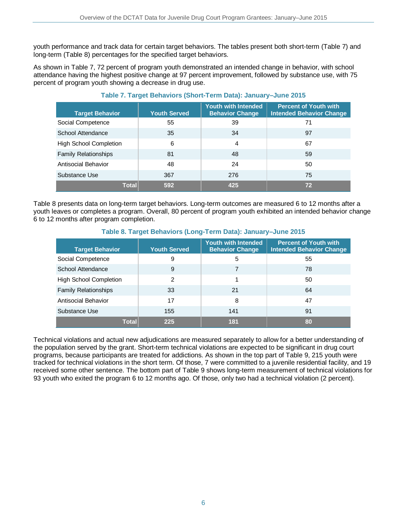youth performance and track data for certain target behaviors. The tables present both short-term (Table 7) and long-term (Table 8) percentages for the specified target behaviors.

As shown in Table 7, 72 percent of program youth demonstrated an intended change in behavior, with school attendance having the highest positive change at 97 percent improvement, followed by substance use, with 75 percent of program youth showing a decrease in drug use.

| <b>Target Behavior</b>        | <b>Youth Served</b> | <b>Youth with Intended</b><br><b>Behavior Change</b> | <b>Percent of Youth with</b><br><b>Intended Behavior Change</b> |
|-------------------------------|---------------------|------------------------------------------------------|-----------------------------------------------------------------|
| Social Competence             | 55                  | 39                                                   | 71                                                              |
| School Attendance             | 35                  | 34                                                   | 97                                                              |
| <b>High School Completion</b> | 6                   | 4                                                    | 67                                                              |
| <b>Family Relationships</b>   | 81                  | 48                                                   | 59                                                              |
| Antisocial Behavior           | 48                  | 24                                                   | 50                                                              |
| Substance Use                 | 367                 | 276                                                  | 75                                                              |
| <b>Total</b>                  | 592                 | 425                                                  | 72                                                              |

### **Table 7. Target Behaviors (Short-Term Data): January–June 2015**

Table 8 presents data on long-term target behaviors. Long-term outcomes are measured 6 to 12 months after a youth leaves or completes a program. Overall, 80 percent of program youth exhibited an intended behavior change 6 to 12 months after program completion.

#### **Target Behavior Youth Served Youth with Intended Behavior Change Percent of Youth with Intended Behavior Change** Social Competence 9 5 55 School Attendance **9** 9 7 7 7 7 8 High School Completion  $\begin{array}{ccc} \vert & 2 & \vert & 1 & \vert & \vert & 50 \\ \vert & 2 & \vert & 1 & \vert & \vert & 50 \\ \end{array}$ Family Relationships 133 21 21 64 Antisocial Behavior 17 8 47 Substance Use 155 141 141 91 **Total 225 181 80**

### **Table 8. Target Behaviors (Long-Term Data): January–June 2015**

Technical violations and actual new adjudications are measured separately to allow for a better understanding of the population served by the grant. Short-term technical violations are expected to be significant in drug court programs, because participants are treated for addictions. As shown in the top part of Table 9, 215 youth were tracked for technical violations in the short term. Of those, 7 were committed to a juvenile residential facility, and 19 received some other sentence. The bottom part of Table 9 shows long-term measurement of technical violations for 93 youth who exited the program 6 to 12 months ago. Of those, only two had a technical violation (2 percent).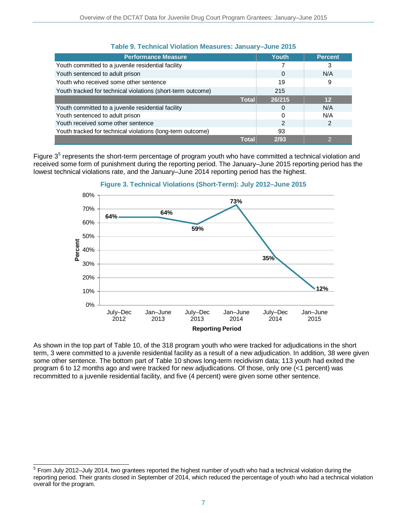| <b>Performance Measure</b>                                  | Youth  | <b>Percent</b> |
|-------------------------------------------------------------|--------|----------------|
| Youth committed to a juvenile residential facility          |        | 3              |
| Youth sentenced to adult prison                             | 0      | N/A            |
| Youth who received some other sentence                      | 19     | 9              |
| Youth tracked for technical violations (short-term outcome) | 215    |                |
| <b>Total</b>                                                | 26/215 | 12             |
| Youth committed to a juvenile residential facility          |        | N/A            |
| Youth sentenced to adult prison                             |        | N/A            |
| Youth received some other sentence                          | 2      |                |
| Youth tracked for technical violations (long-term outcome)  | 93     |                |
| <b>Total</b>                                                | 2/93   |                |

### **Table 9. Technical Violation Measures: January–June 2015**

Figure  $3<sup>5</sup>$  $3<sup>5</sup>$  $3<sup>5</sup>$  represents the short-term percentage of program youth who have committed a technical violation and received some form of punishment during the reporting period. The January–June 2015 reporting period has the lowest technical violations rate, and the January–June 2014 reporting period has the highest.





As shown in the top part of Table 10, of the 318 program youth who were tracked for adjudications in the short term, 3 were committed to a juvenile residential facility as a result of a new adjudication. In addition, 38 were given some other sentence. The bottom part of Table 10 shows long-term recidivism data; 113 youth had exited the program 6 to 12 months ago and were tracked for new adjudications. Of those, only one (<1 percent) was recommitted to a juvenile residential facility, and five (4 percent) were given some other sentence.

<span id="page-6-0"></span> $\overline{a}$  $5$  From July 2012–July 2014, two grantees reported the highest number of youth who had a technical violation during the reporting period. Their grants closed in September of 2014, which reduced the percentage of youth who had a technical violation overall for the program.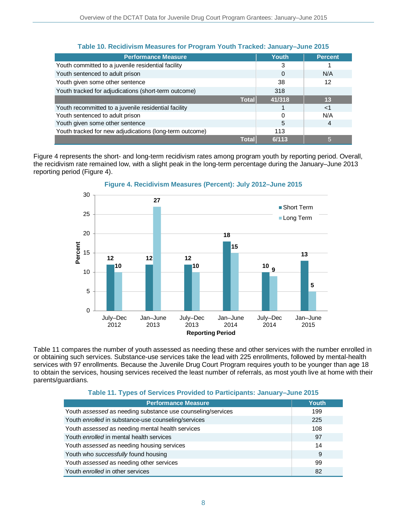| <b>Performance Measure</b>                              | <b>Youth</b> | <b>Percent</b> |
|---------------------------------------------------------|--------------|----------------|
| Youth committed to a juvenile residential facility      | 3            |                |
| Youth sentenced to adult prison                         | 0            | N/A            |
| Youth given some other sentence                         | 38           | 12             |
| Youth tracked for adjudications (short-term outcome)    | 318          |                |
| <b>Total</b>                                            | 41/318       | 13             |
| Youth recommitted to a juvenile residential facility    |              | ا>             |
| Youth sentenced to adult prison                         | U            | N/A            |
| Youth given some other sentence                         | 5            | 4              |
| Youth tracked for new adjudications (long-term outcome) | 113          |                |
| Total                                                   | 6/113        | 5              |

### **Table 10. Recidivism Measures for Program Youth Tracked: January–June 2015**

Figure 4 represents the short- and long-term recidivism rates among program youth by reporting period. Overall, the recidivism rate remained low, with a slight peak in the long-term percentage during the January–June 2013 reporting period (Figure 4).



### **Figure 4. Recidivism Measures (Percent): July 2012–June 2015**

Table 11 compares the number of youth assessed as needing these and other services with the number enrolled in or obtaining such services. Substance-use services take the lead with 225 enrollments, followed by mental-health services with 97 enrollments. Because the Juvenile Drug Court Program requires youth to be younger than age 18 to obtain the services, housing services received the least number of referrals, as most youth live at home with their parents/guardians.

| Table 11. Types of Services Provided to Participants: January–June 2015 |  |
|-------------------------------------------------------------------------|--|
|                                                                         |  |

| <b>Performance Measure</b>                                  | Youth |
|-------------------------------------------------------------|-------|
| Youth assessed as needing substance use counseling/services | 199   |
| Youth enrolled in substance-use counseling/services         | 225   |
| Youth assessed as needing mental health services            | 108   |
| Youth <i>enrolled</i> in mental health services             | 97    |
| Youth assessed as needing housing services                  | 14    |
| Youth who successfully found housing                        | 9     |
| Youth assessed as needing other services                    | 99    |
| Youth enrolled in other services                            | 82    |